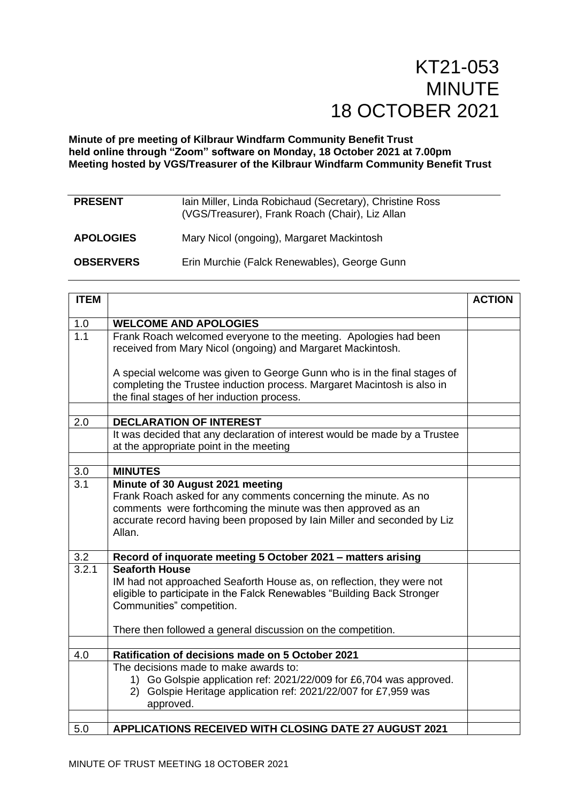## **Minute of pre meeting of Kilbraur Windfarm Community Benefit Trust held online through "Zoom" software on Monday, 18 October 2021 at 7.00pm Meeting hosted by VGS/Treasurer of the Kilbraur Windfarm Community Benefit Trust**

| <b>PRESENT</b>   | Iain Miller, Linda Robichaud (Secretary), Christine Ross<br>(VGS/Treasurer), Frank Roach (Chair), Liz Allan |
|------------------|-------------------------------------------------------------------------------------------------------------|
| <b>APOLOGIES</b> | Mary Nicol (ongoing), Margaret Mackintosh                                                                   |
| <b>OBSERVERS</b> | Erin Murchie (Falck Renewables), George Gunn                                                                |

| <b>ITEM</b> |                                                                                                                                                                                                                                                          | <b>ACTION</b> |
|-------------|----------------------------------------------------------------------------------------------------------------------------------------------------------------------------------------------------------------------------------------------------------|---------------|
| 1.0         | <b>WELCOME AND APOLOGIES</b>                                                                                                                                                                                                                             |               |
| 1.1         | Frank Roach welcomed everyone to the meeting. Apologies had been<br>received from Mary Nicol (ongoing) and Margaret Mackintosh.                                                                                                                          |               |
|             | A special welcome was given to George Gunn who is in the final stages of<br>completing the Trustee induction process. Margaret Macintosh is also in<br>the final stages of her induction process.                                                        |               |
|             |                                                                                                                                                                                                                                                          |               |
| 2.0         | <b>DECLARATION OF INTEREST</b>                                                                                                                                                                                                                           |               |
|             | It was decided that any declaration of interest would be made by a Trustee<br>at the appropriate point in the meeting                                                                                                                                    |               |
|             |                                                                                                                                                                                                                                                          |               |
| 3.0         | <b>MINUTES</b>                                                                                                                                                                                                                                           |               |
| 3.1         | Minute of 30 August 2021 meeting<br>Frank Roach asked for any comments concerning the minute. As no<br>comments were forthcoming the minute was then approved as an<br>accurate record having been proposed by lain Miller and seconded by Liz<br>Allan. |               |
| 3.2         | Record of inquorate meeting 5 October 2021 - matters arising                                                                                                                                                                                             |               |
| 3.2.1       | <b>Seaforth House</b><br>IM had not approached Seaforth House as, on reflection, they were not<br>eligible to participate in the Falck Renewables "Building Back Stronger<br>Communities" competition.                                                   |               |
|             | There then followed a general discussion on the competition.                                                                                                                                                                                             |               |
| 4.0         | Ratification of decisions made on 5 October 2021                                                                                                                                                                                                         |               |
|             | The decisions made to make awards to:                                                                                                                                                                                                                    |               |
|             | 1) Go Golspie application ref: 2021/22/009 for £6,704 was approved.<br>2) Golspie Heritage application ref: 2021/22/007 for £7,959 was<br>approved.                                                                                                      |               |
|             |                                                                                                                                                                                                                                                          |               |
| 5.0         | APPLICATIONS RECEIVED WITH CLOSING DATE 27 AUGUST 2021                                                                                                                                                                                                   |               |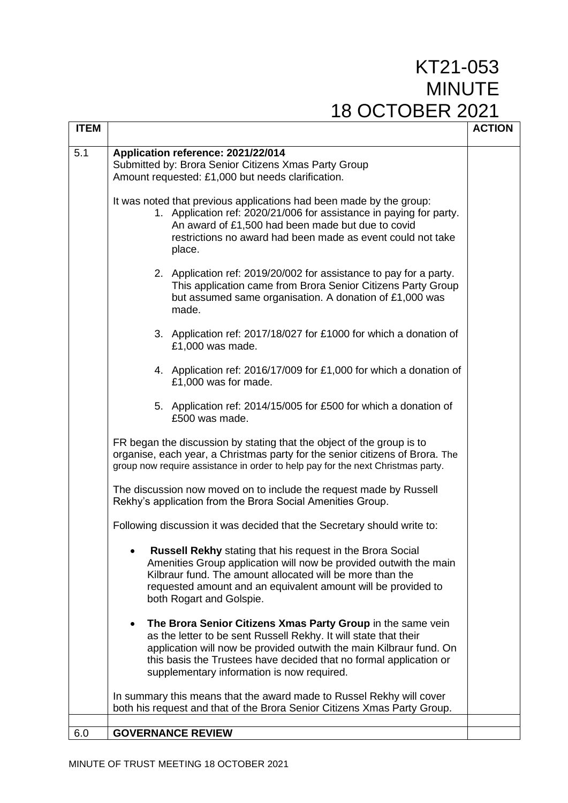| <b>ITEM</b> |                                                                                                                                                                                                                                                                                                                                 | <b>ACTION</b> |
|-------------|---------------------------------------------------------------------------------------------------------------------------------------------------------------------------------------------------------------------------------------------------------------------------------------------------------------------------------|---------------|
| 5.1         | Application reference: 2021/22/014<br>Submitted by: Brora Senior Citizens Xmas Party Group<br>Amount requested: £1,000 but needs clarification.                                                                                                                                                                                 |               |
|             | It was noted that previous applications had been made by the group:<br>1. Application ref: 2020/21/006 for assistance in paying for party.<br>An award of £1,500 had been made but due to covid<br>restrictions no award had been made as event could not take<br>place.                                                        |               |
|             | 2. Application ref: 2019/20/002 for assistance to pay for a party.<br>This application came from Brora Senior Citizens Party Group<br>but assumed same organisation. A donation of £1,000 was<br>made.                                                                                                                          |               |
|             | 3. Application ref: 2017/18/027 for £1000 for which a donation of<br>£1,000 was made.                                                                                                                                                                                                                                           |               |
|             | 4. Application ref: 2016/17/009 for £1,000 for which a donation of<br>£1,000 was for made.                                                                                                                                                                                                                                      |               |
|             | 5. Application ref: 2014/15/005 for £500 for which a donation of<br>£500 was made.                                                                                                                                                                                                                                              |               |
|             | FR began the discussion by stating that the object of the group is to<br>organise, each year, a Christmas party for the senior citizens of Brora. The<br>group now require assistance in order to help pay for the next Christmas party.                                                                                        |               |
|             | The discussion now moved on to include the request made by Russell<br>Rekhy's application from the Brora Social Amenities Group.                                                                                                                                                                                                |               |
|             | Following discussion it was decided that the Secretary should write to:                                                                                                                                                                                                                                                         |               |
|             | Russell Rekhy stating that his request in the Brora Social<br>Amenities Group application will now be provided outwith the main<br>Kilbraur fund. The amount allocated will be more than the<br>requested amount and an equivalent amount will be provided to<br>both Rogart and Golspie.                                       |               |
|             | The Brora Senior Citizens Xmas Party Group in the same vein<br>٠<br>as the letter to be sent Russell Rekhy. It will state that their<br>application will now be provided outwith the main Kilbraur fund. On<br>this basis the Trustees have decided that no formal application or<br>supplementary information is now required. |               |
|             | In summary this means that the award made to Russel Rekhy will cover<br>both his request and that of the Brora Senior Citizens Xmas Party Group.                                                                                                                                                                                |               |
| 6.0         | <b>GOVERNANCE REVIEW</b>                                                                                                                                                                                                                                                                                                        |               |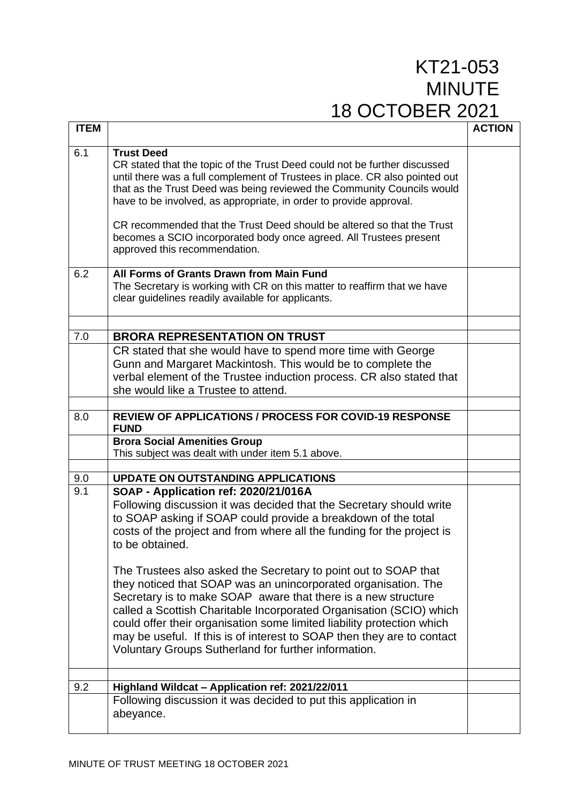| <b>ITEM</b> |                                                                                                                                                                                                                                                                                                                                                                                                                                                                                                                                                                                                                                                                                                                                                                                                                 | <b>ACTION</b> |
|-------------|-----------------------------------------------------------------------------------------------------------------------------------------------------------------------------------------------------------------------------------------------------------------------------------------------------------------------------------------------------------------------------------------------------------------------------------------------------------------------------------------------------------------------------------------------------------------------------------------------------------------------------------------------------------------------------------------------------------------------------------------------------------------------------------------------------------------|---------------|
| 6.1         | <b>Trust Deed</b><br>CR stated that the topic of the Trust Deed could not be further discussed<br>until there was a full complement of Trustees in place. CR also pointed out<br>that as the Trust Deed was being reviewed the Community Councils would<br>have to be involved, as appropriate, in order to provide approval.<br>CR recommended that the Trust Deed should be altered so that the Trust<br>becomes a SCIO incorporated body once agreed. All Trustees present<br>approved this recommendation.                                                                                                                                                                                                                                                                                                  |               |
| 6.2         | All Forms of Grants Drawn from Main Fund<br>The Secretary is working with CR on this matter to reaffirm that we have<br>clear guidelines readily available for applicants.                                                                                                                                                                                                                                                                                                                                                                                                                                                                                                                                                                                                                                      |               |
| 7.0         | <b>BRORA REPRESENTATION ON TRUST</b>                                                                                                                                                                                                                                                                                                                                                                                                                                                                                                                                                                                                                                                                                                                                                                            |               |
|             | CR stated that she would have to spend more time with George<br>Gunn and Margaret Mackintosh. This would be to complete the<br>verbal element of the Trustee induction process. CR also stated that<br>she would like a Trustee to attend.                                                                                                                                                                                                                                                                                                                                                                                                                                                                                                                                                                      |               |
| 8.0         | <b>REVIEW OF APPLICATIONS / PROCESS FOR COVID-19 RESPONSE</b><br><b>FUND</b>                                                                                                                                                                                                                                                                                                                                                                                                                                                                                                                                                                                                                                                                                                                                    |               |
|             | <b>Brora Social Amenities Group</b><br>This subject was dealt with under item 5.1 above.                                                                                                                                                                                                                                                                                                                                                                                                                                                                                                                                                                                                                                                                                                                        |               |
|             |                                                                                                                                                                                                                                                                                                                                                                                                                                                                                                                                                                                                                                                                                                                                                                                                                 |               |
| 9.0<br>9.1  | <b>UPDATE ON OUTSTANDING APPLICATIONS</b><br>SOAP - Application ref: 2020/21/016A<br>Following discussion it was decided that the Secretary should write<br>to SOAP asking if SOAP could provide a breakdown of the total<br>costs of the project and from where all the funding for the project is<br>to be obtained.<br>The Trustees also asked the Secretary to point out to SOAP that<br>they noticed that SOAP was an unincorporated organisation. The<br>Secretary is to make SOAP aware that there is a new structure<br>called a Scottish Charitable Incorporated Organisation (SCIO) which<br>could offer their organisation some limited liability protection which<br>may be useful. If this is of interest to SOAP then they are to contact<br>Voluntary Groups Sutherland for further information. |               |
| 9.2         | Highland Wildcat - Application ref: 2021/22/011                                                                                                                                                                                                                                                                                                                                                                                                                                                                                                                                                                                                                                                                                                                                                                 |               |
|             | Following discussion it was decided to put this application in<br>abeyance.                                                                                                                                                                                                                                                                                                                                                                                                                                                                                                                                                                                                                                                                                                                                     |               |